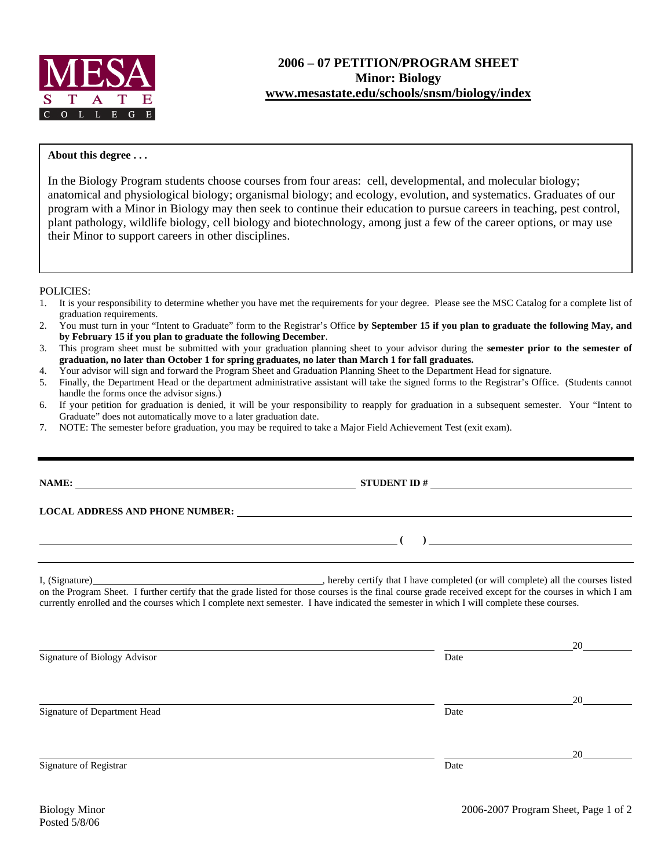

## **About this degree . . .**

In the Biology Program students choose courses from four areas: cell, developmental, and molecular biology; anatomical and physiological biology; organismal biology; and ecology, evolution, and systematics. Graduates of our program with a Minor in Biology may then seek to continue their education to pursue careers in teaching, pest control, plant pathology, wildlife biology, cell biology and biotechnology, among just a few of the career options, or may use their Minor to support careers in other disciplines.

## POLICIES:

- 1. It is your responsibility to determine whether you have met the requirements for your degree. Please see the MSC Catalog for a complete list of graduation requirements.
- 2. You must turn in your "Intent to Graduate" form to the Registrar's Office **by September 15 if you plan to graduate the following May, and by February 15 if you plan to graduate the following December**.
- 3. This program sheet must be submitted with your graduation planning sheet to your advisor during the **semester prior to the semester of graduation, no later than October 1 for spring graduates, no later than March 1 for fall graduates.**
- 4. Your advisor will sign and forward the Program Sheet and Graduation Planning Sheet to the Department Head for signature.
- 5. Finally, the Department Head or the department administrative assistant will take the signed forms to the Registrar's Office. (Students cannot handle the forms once the advisor signs.)
- 6. If your petition for graduation is denied, it will be your responsibility to reapply for graduation in a subsequent semester. Your "Intent to Graduate" does not automatically move to a later graduation date.
- 7. NOTE: The semester before graduation, you may be required to take a Major Field Achievement Test (exit exam).

|                                                                                                                                                                                                                                                                                                                                                                   | STUDENT ID $\#$                                                                                                                                                                                                                |    |  |  |  |  |
|-------------------------------------------------------------------------------------------------------------------------------------------------------------------------------------------------------------------------------------------------------------------------------------------------------------------------------------------------------------------|--------------------------------------------------------------------------------------------------------------------------------------------------------------------------------------------------------------------------------|----|--|--|--|--|
|                                                                                                                                                                                                                                                                                                                                                                   | LOCAL ADDRESS AND PHONE NUMBER: Under the contract of the contract of the contract of the contract of the contract of the contract of the contract of the contract of the contract of the contract of the contract of the cont |    |  |  |  |  |
|                                                                                                                                                                                                                                                                                                                                                                   | $\overline{a}$ (b) and the contract of $\overline{a}$ (c) and the contract of $\overline{a}$ (c) and the contract of $\overline{a}$                                                                                            |    |  |  |  |  |
| <u> 1989 - Johann Stoff, amerikansk politiker (* 1908)</u><br>on the Program Sheet. I further certify that the grade listed for those courses is the final course grade received except for the courses in which I am<br>currently enrolled and the courses which I complete next semester. I have indicated the semester in which I will complete these courses. |                                                                                                                                                                                                                                |    |  |  |  |  |
| Signature of Biology Advisor                                                                                                                                                                                                                                                                                                                                      | Date                                                                                                                                                                                                                           |    |  |  |  |  |
| Signature of Department Head                                                                                                                                                                                                                                                                                                                                      | Date                                                                                                                                                                                                                           | 20 |  |  |  |  |
| Signature of Registrar                                                                                                                                                                                                                                                                                                                                            | Date                                                                                                                                                                                                                           | 20 |  |  |  |  |
|                                                                                                                                                                                                                                                                                                                                                                   |                                                                                                                                                                                                                                |    |  |  |  |  |